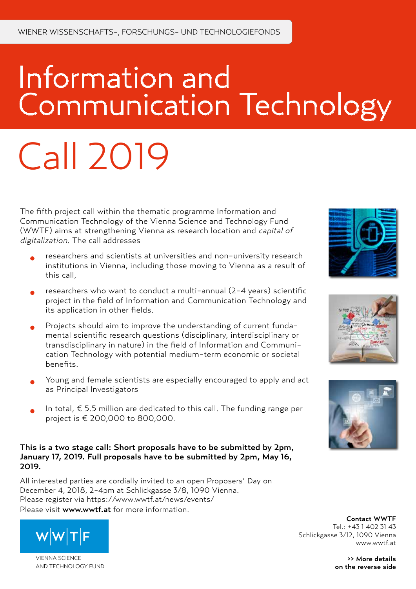# Information and Communication Technology

# Call 2019

The fifth project call within the thematic programme Information and Communication Technology of the Vienna Science and Technology Fund (WWTF) aims at strengthening Vienna as research location and capital of digitalization. The call addresses

- researchers and scientists at universities and non-university research institutions in Vienna, including those moving to Vienna as a result of this call,
- researchers who want to conduct a multi-annual (2-4 years) scientific project in the field of Information and Communication Technology and its application in other fields.
- Projects should aim to improve the understanding of current fundamental scientific research questions (disciplinary, interdisciplinary or transdisciplinary in nature) in the field of Information and Communication Technology with potential medium-term economic or societal benefits.
- Young and female scientists are especially encouraged to apply and act as Principal Investigators
- In total, € 5.5 million are dedicated to this call. The funding range per project is € 200,000 to 800,000.

### This is a two stage call: Short proposals have to be submitted by 2pm, January 17, 2019. Full proposals have to be submitted by 2pm, May 16, 2019.

All interested parties are cordially invited to an open Proposers' Day on December 4, 2018, 2-4pm at Schlickgasse 3/8, 1090 Vienna. Please register via <https://www.wwtf.at/news/events/> Please visit [www.wwtf.at](https://www.wwtf.at) for more information.



VIENNA SCIENCE AND TECHNOLOGY FUND







Contact WWTF Tel.: +43 1 402 31 43 Schlickgasse 3/12, 1090 Vienna [www.wwtf.at](https://www.wwtf.at)

> >> More details on the reverse side